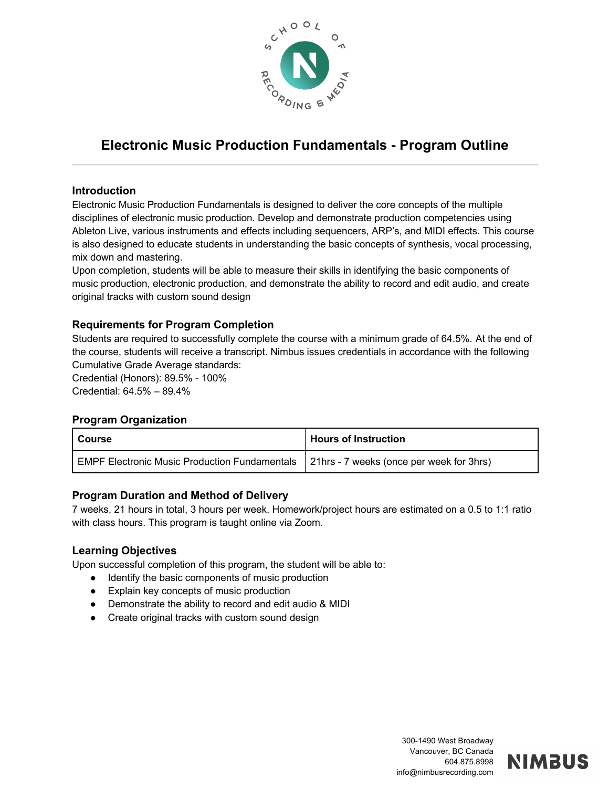

# **Electronic Music Production Fundamentals - Program Outline**

#### **Introduction**

Electronic Music Production Fundamentals is designed to deliver the core concepts of the multiple disciplines of electronic music production. Develop and demonstrate production competencies using Ableton Live, various instruments and effects including sequencers, ARP's, and MIDI effects. This course is also designed to educate students in understanding the basic concepts of synthesis, vocal processing, mix down and mastering.

Upon completion, students will be able to measure their skills in identifying the basic components of music production, electronic production, and demonstrate the ability to record and edit audio, and create original tracks with custom sound design

## **Requirements for Program Completion**

Students are required to successfully complete the course with a minimum grade of 64.5%. At the end of the course, students will receive a transcript. Nimbus issues credentials in accordance with the following Cumulative Grade Average standards:

Credential (Honors): 89.5% - 100% Credential: 64.5% – 89.4%

#### **Program Organization**

| l Course                                                                                 | <b>Hours of Instruction</b> |
|------------------------------------------------------------------------------------------|-----------------------------|
| EMPF Electronic Music Production Fundamentals   21hrs - 7 weeks (once per week for 3hrs) |                             |

#### **Program Duration and Method of Delivery**

7 weeks, 21 hours in total, 3 hours per week. Homework/project hours are estimated on a 0.5 to 1:1 ratio with class hours. This program is taught online via Zoom.

#### **Learning Objectives**

Upon successful completion of this program, the student will be able to:

- Identify the basic components of music production
- Explain key concepts of music production
- Demonstrate the ability to record and edit audio & MIDI
- Create original tracks with custom sound design